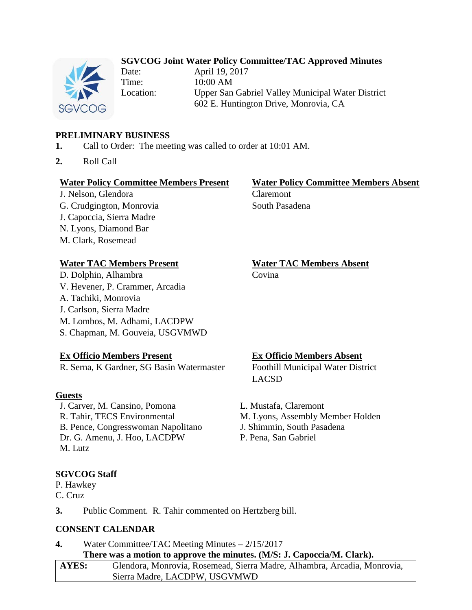# **SGVCOG Joint Water Policy Committee/TAC Approved Minutes**



Date: April 19, 2017 Time: 10:00 AM

Location: Upper San Gabriel Valley Municipal Water District 602 E. Huntington Drive, Monrovia, CA

# **PRELIMINARY BUSINESS**

- **1.** Call to Order: The meeting was called to order at 10:01 AM.
- **2.** Roll Call

### **Water Policy Committee Members Present Water Policy Committee Members Absent**

J. Nelson, Glendora Claremont G. Crudgington, Monrovia South Pasadena J. Capoccia, Sierra Madre N. Lyons, Diamond Bar M. Clark, Rosemead

## **Water TAC Members Present Water TAC Members Absent**

D. Dolphin, Alhambra Covina V. Hevener, P. Crammer, Arcadia A. Tachiki, Monrovia J. Carlson, Sierra Madre M. Lombos, M. Adhami, LACDPW S. Chapman, M. Gouveia, USGVMWD

# **Ex Officio Members Present Ex Officio Members Absent**

R. Serna, K Gardner, SG Basin Watermaster Foothill Municipal Water District

## **Guests**

J. Carver, M. Cansino, Pomona L. Mustafa, Claremont B. Pence, Congresswoman Napolitano J. Shimmin, South Pasadena Dr. G. Amenu, J. Hoo, LACDPW P. Pena, San Gabriel M. Lutz

## **SGVCOG Staff**

P. Hawkey C. Cruz

**3.** Public Comment. R. Tahir commented on Hertzberg bill.

# **CONSENT CALENDAR**

**4.** Water Committee/TAC Meeting Minutes – 2/15/2017 **There was a motion to approve the minutes. (M/S: J. Capoccia/M. Clark).**

| AYES: | Glendora, Monrovia, Rosemead, Sierra Madre, Alhambra, Arcadia, Monrovia, |
|-------|--------------------------------------------------------------------------|
|       | Sierra Madre, LACDPW, USGVMWD                                            |

LACSD

R. Tahir, TECS Environmental M. Lyons, Assembly Member Holden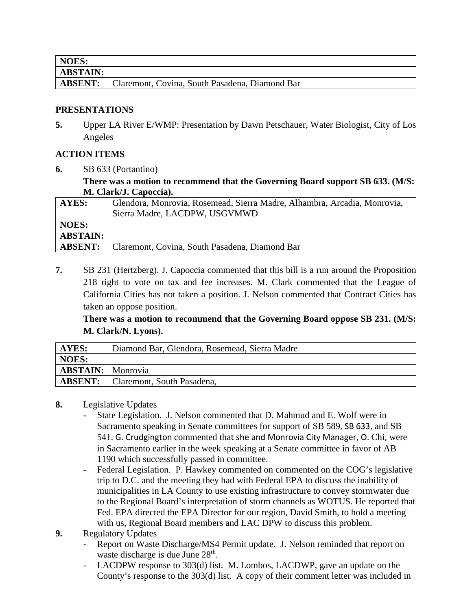| NOES:           |                                                |
|-----------------|------------------------------------------------|
| <b>ABSTAIN:</b> |                                                |
| <b>ABSENT:</b>  | Claremont, Covina, South Pasadena, Diamond Bar |

## **PRESENTATIONS**

**5.** Upper LA River E/WMP: Presentation by Dawn Petschauer, Water Biologist, City of Los Angeles

# **ACTION ITEMS**

**6.** SB 633 (Portantino)

**There was a motion to recommend that the Governing Board support SB 633. (M/S: M. Clark/J. Capoccia).**

| <b>AYES:</b>    | Glendora, Monrovia, Rosemead, Sierra Madre, Alhambra, Arcadia, Monrovia,<br>Sierra Madre, LACDPW, USGVMWD |
|-----------------|-----------------------------------------------------------------------------------------------------------|
| <b>NOES:</b>    |                                                                                                           |
| <b>ABSTAIN:</b> |                                                                                                           |
| <b>ABSENT:</b>  | Claremont, Covina, South Pasadena, Diamond Bar                                                            |

**7.** SB 231 (Hertzberg). J. Capoccia commented that this bill is a run around the Proposition 218 right to vote on tax and fee increases. M. Clark commented that the League of California Cities has not taken a position. J. Nelson commented that Contract Cities has taken an oppose position.

**There was a motion to recommend that the Governing Board oppose SB 231. (M/S: M. Clark/N. Lyons).**

| AYES:                    | Diamond Bar, Glendora, Rosemead, Sierra Madre |
|--------------------------|-----------------------------------------------|
| NOES:                    |                                               |
| <b>ABSTAIN:</b> Monrovia |                                               |
|                          | <b>ABSENT:</b> Claremont, South Pasadena,     |

# **8.** Legislative Updates

- State Legislation. J. Nelson commented that D. Mahmud and E. Wolf were in Sacramento speaking in Senate committees for support of SB 589, SB 633, and SB 541. G. Crudgington commented that she and Monrovia City Manager, O. Chi, were in Sacramento earlier in the week speaking at a Senate committee in favor of AB 1190 which successfully passed in committee.
- Federal Legislation. P. Hawkey commented on commented on the COG's legislative trip to D.C. and the meeting they had with Federal EPA to discuss the inability of municipalities in LA County to use existing infrastructure to convey stormwater due to the Regional Board's interpretation of storm channels as WOTUS. He reported that Fed. EPA directed the EPA Director for our region, David Smith, to hold a meeting with us, Regional Board members and LAC DPW to discuss this problem.
- **9.** Regulatory Updates
	- Report on Waste Discharge/MS4 Permit update. J. Nelson reminded that report on waste discharge is due June 28<sup>th</sup>.
	- LACDPW response to 303(d) list. M. Lombos, LACDWP, gave an update on the County's response to the 303(d) list. A copy of their comment letter was included in